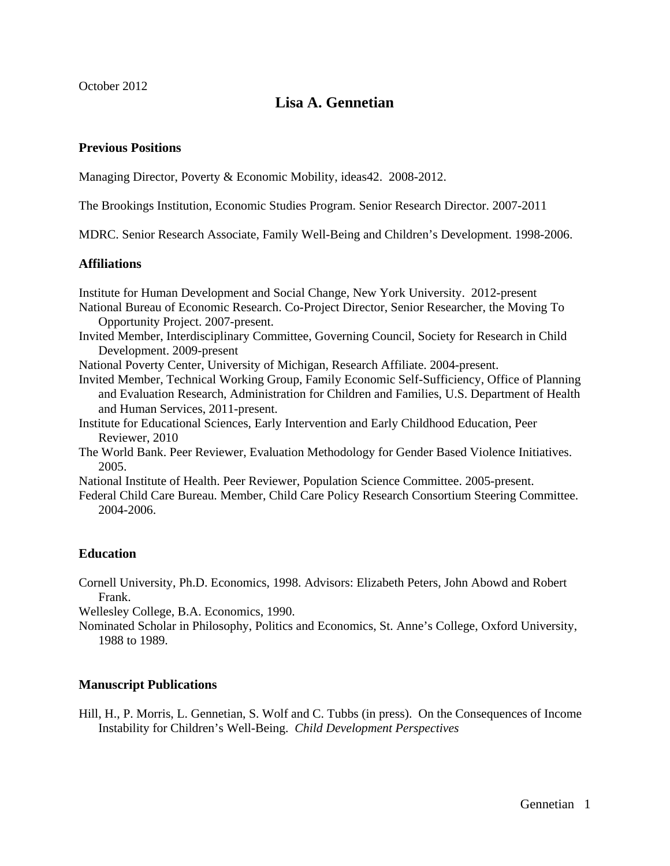October 2012

# **Lisa A. Gennetian**

# **Previous Positions**

Managing Director, Poverty & Economic Mobility, ideas42. 2008-2012.

The Brookings Institution, Economic Studies Program. Senior Research Director. 2007-2011

MDRC. Senior Research Associate, Family Well-Being and Children's Development. 1998-2006.

# **Affiliations**

Institute for Human Development and Social Change, New York University. 2012-present

- National Bureau of Economic Research. Co-Project Director, Senior Researcher, the Moving To Opportunity Project. 2007-present.
- Invited Member, Interdisciplinary Committee, Governing Council, Society for Research in Child Development. 2009-present
- National Poverty Center, University of Michigan, Research Affiliate. 2004-present.
- Invited Member, Technical Working Group, Family Economic Self-Sufficiency, Office of Planning and Evaluation Research, Administration for Children and Families, U.S. Department of Health and Human Services, 2011-present.
- Institute for Educational Sciences, Early Intervention and Early Childhood Education, Peer Reviewer, 2010
- The World Bank. Peer Reviewer, Evaluation Methodology for Gender Based Violence Initiatives. 2005.

National Institute of Health. Peer Reviewer, Population Science Committee. 2005-present.

Federal Child Care Bureau. Member, Child Care Policy Research Consortium Steering Committee. 2004-2006.

# **Education**

Cornell University, Ph.D. Economics, 1998. Advisors: Elizabeth Peters, John Abowd and Robert Frank.

Wellesley College, B.A. Economics, 1990.

Nominated Scholar in Philosophy, Politics and Economics, St. Anne's College, Oxford University, 1988 to 1989.

# **Manuscript Publications**

Hill, H., P. Morris, L. Gennetian, S. Wolf and C. Tubbs (in press). On the Consequences of Income Instability for Children's Well-Being. *Child Development Perspectives*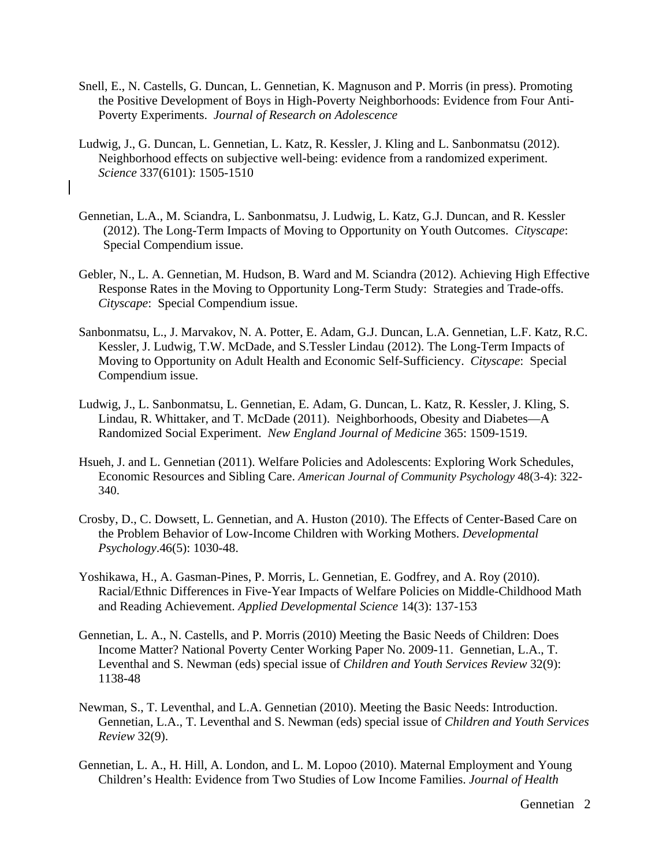- Snell, E., N. Castells, G. Duncan, L. Gennetian, K. Magnuson and P. Morris (in press). Promoting the Positive Development of Boys in High-Poverty Neighborhoods: Evidence from Four Anti-Poverty Experiments. *Journal of Research on Adolescence*
- Ludwig, J., G. Duncan, L. Gennetian, L. Katz, R. Kessler, J. Kling and L. Sanbonmatsu (2012). Neighborhood effects on subjective well-being: evidence from a randomized experiment. *Science* 337(6101): 1505-1510
- Gennetian, L.A., M. Sciandra, L. Sanbonmatsu, J. Ludwig, L. Katz, G.J. Duncan, and R. Kessler (2012). The Long-Term Impacts of Moving to Opportunity on Youth Outcomes. *Cityscape*: Special Compendium issue.
- Gebler, N., L. A. Gennetian, M. Hudson, B. Ward and M. Sciandra (2012). Achieving High Effective Response Rates in the Moving to Opportunity Long-Term Study: Strategies and Trade-offs. *Cityscape*: Special Compendium issue.
- Sanbonmatsu, L., J. Marvakov, N. A. Potter, E. Adam, G.J. Duncan, L.A. Gennetian, L.F. Katz, R.C. Kessler, J. Ludwig, T.W. McDade, and S.Tessler Lindau (2012). The Long-Term Impacts of Moving to Opportunity on Adult Health and Economic Self-Sufficiency. *Cityscape*: Special Compendium issue.
- Ludwig, J., L. Sanbonmatsu, L. Gennetian, E. Adam, G. Duncan, L. Katz, R. Kessler, J. Kling, S. Lindau, R. Whittaker, and T. McDade (2011). Neighborhoods, Obesity and Diabetes—A Randomized Social Experiment. *New England Journal of Medicine* 365: 1509-1519.
- Hsueh, J. and L. Gennetian (2011). Welfare Policies and Adolescents: Exploring Work Schedules, Economic Resources and Sibling Care. *American Journal of Community Psychology* 48(3-4): 322- 340.
- Crosby, D., C. Dowsett, L. Gennetian, and A. Huston (2010). The Effects of Center-Based Care on the Problem Behavior of Low-Income Children with Working Mothers. *Developmental Psychology*.46(5): 1030-48.
- Yoshikawa, H., A. Gasman-Pines, P. Morris, L. Gennetian, E. Godfrey, and A. Roy (2010). Racial/Ethnic Differences in Five-Year Impacts of Welfare Policies on Middle-Childhood Math and Reading Achievement. *Applied Developmental Science* 14(3): 137-153
- Gennetian, L. A., N. Castells, and P. Morris (2010) Meeting the Basic Needs of Children: Does Income Matter? National Poverty Center Working Paper No. 2009-11. Gennetian, L.A., T. Leventhal and S. Newman (eds) special issue of *Children and Youth Services Review* 32(9): 1138-48
- Newman, S., T. Leventhal, and L.A. Gennetian (2010). Meeting the Basic Needs: Introduction. Gennetian, L.A., T. Leventhal and S. Newman (eds) special issue of *Children and Youth Services Review* 32(9).
- Gennetian, L. A., H. Hill, A. London, and L. M. Lopoo (2010). Maternal Employment and Young Children's Health: Evidence from Two Studies of Low Income Families. *Journal of Health*

Gennetian 2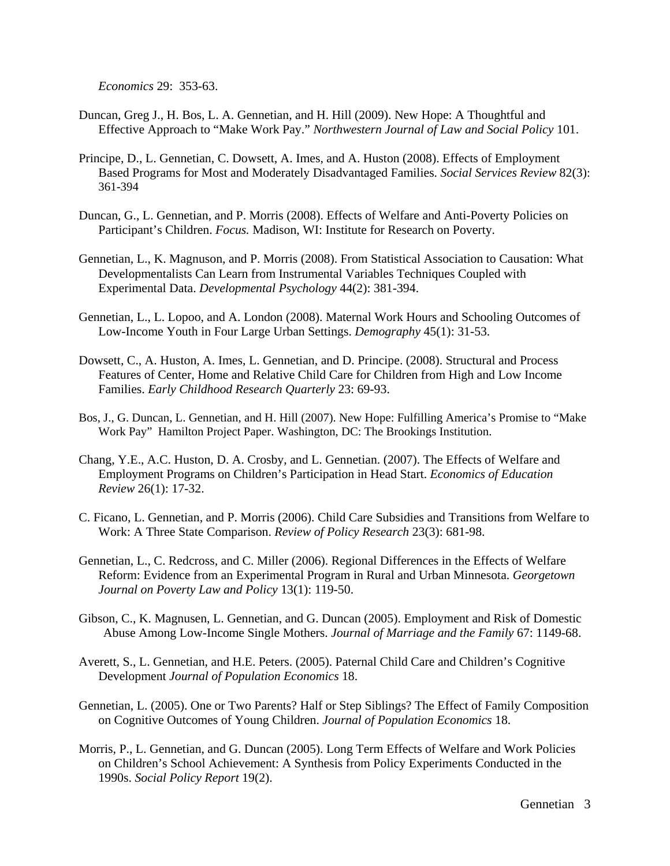*Economics* 29: 353-63.

- Duncan, Greg J., H. Bos, L. A. Gennetian, and H. Hill (2009). New Hope: A Thoughtful and Effective Approach to "Make Work Pay." *Northwestern Journal of Law and Social Policy* 101.
- Principe, D., L. Gennetian, C. Dowsett, A. Imes, and A. Huston (2008). Effects of Employment Based Programs for Most and Moderately Disadvantaged Families. *Social Services Review* 82(3): 361-394
- Duncan, G., L. Gennetian, and P. Morris (2008). Effects of Welfare and Anti-Poverty Policies on Participant's Children. *Focus.* Madison, WI: Institute for Research on Poverty.
- Gennetian, L., K. Magnuson, and P. Morris (2008). From Statistical Association to Causation: What Developmentalists Can Learn from Instrumental Variables Techniques Coupled with Experimental Data. *Developmental Psychology* 44(2): 381-394.
- Gennetian, L., L. Lopoo, and A. London (2008). Maternal Work Hours and Schooling Outcomes of Low-Income Youth in Four Large Urban Settings. *Demography* 45(1): 31-53.
- Dowsett, C., A. Huston, A. Imes, L. Gennetian, and D. Principe. (2008). Structural and Process Features of Center, Home and Relative Child Care for Children from High and Low Income Families. *Early Childhood Research Quarterly* 23: 69-93.
- Bos, J., G. Duncan, L. Gennetian, and H. Hill (2007). New Hope: Fulfilling America's Promise to "Make Work Pay" Hamilton Project Paper. Washington, DC: The Brookings Institution.
- Chang, Y.E., A.C. Huston, D. A. Crosby, and L. Gennetian. (2007). The Effects of Welfare and Employment Programs on Children's Participation in Head Start. *Economics of Education Review* 26(1): 17-32.
- C. Ficano, L. Gennetian, and P. Morris (2006). Child Care Subsidies and Transitions from Welfare to Work: A Three State Comparison. *Review of Policy Research* 23(3): 681-98.
- Gennetian, L., C. Redcross, and C. Miller (2006). Regional Differences in the Effects of Welfare Reform: Evidence from an Experimental Program in Rural and Urban Minnesota. *Georgetown Journal on Poverty Law and Policy* 13(1): 119-50.
- Gibson, C., K. Magnusen, L. Gennetian, and G. Duncan (2005). Employment and Risk of Domestic Abuse Among Low-Income Single Mothers. *Journal of Marriage and the Family* 67: 1149-68.
- Averett, S., L. Gennetian, and H.E. Peters. (2005). Paternal Child Care and Children's Cognitive Development *Journal of Population Economics* 18.
- Gennetian, L. (2005). One or Two Parents? Half or Step Siblings? The Effect of Family Composition on Cognitive Outcomes of Young Children. *Journal of Population Economics* 18.
- Morris, P., L. Gennetian, and G. Duncan (2005). Long Term Effects of Welfare and Work Policies on Children's School Achievement: A Synthesis from Policy Experiments Conducted in the 1990s. *Social Policy Report* 19(2).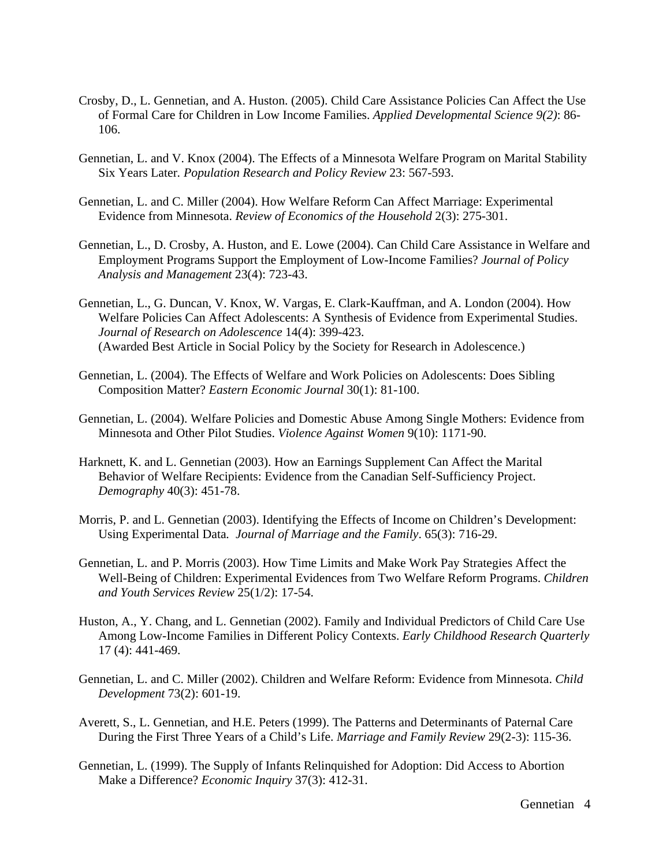- Crosby, D., L. Gennetian, and A. Huston. (2005). Child Care Assistance Policies Can Affect the Use of Formal Care for Children in Low Income Families. *Applied Developmental Science 9(2)*: 86- 106.
- Gennetian, L. and V. Knox (2004). The Effects of a Minnesota Welfare Program on Marital Stability Six Years Later*. Population Research and Policy Review* 23: 567-593.
- Gennetian, L. and C. Miller (2004). How Welfare Reform Can Affect Marriage: Experimental Evidence from Minnesota. *Review of Economics of the Household* 2(3): 275-301.
- Gennetian, L., D. Crosby, A. Huston, and E. Lowe (2004). Can Child Care Assistance in Welfare and Employment Programs Support the Employment of Low-Income Families? *Journal of Policy Analysis and Management* 23(4): 723-43.
- Gennetian, L., G. Duncan, V. Knox, W. Vargas, E. Clark-Kauffman, and A. London (2004). How Welfare Policies Can Affect Adolescents: A Synthesis of Evidence from Experimental Studies. *Journal of Research on Adolescence* 14(4): 399-423. (Awarded Best Article in Social Policy by the Society for Research in Adolescence.)
- Gennetian, L. (2004). The Effects of Welfare and Work Policies on Adolescents: Does Sibling Composition Matter? *Eastern Economic Journal* 30(1): 81-100.
- Gennetian, L. (2004). Welfare Policies and Domestic Abuse Among Single Mothers: Evidence from Minnesota and Other Pilot Studies. *Violence Against Women* 9(10): 1171-90.
- Harknett, K. and L. Gennetian (2003). How an Earnings Supplement Can Affect the Marital Behavior of Welfare Recipients: Evidence from the Canadian Self-Sufficiency Project. *Demography* 40(3): 451-78.
- Morris, P. and L. Gennetian (2003). Identifying the Effects of Income on Children's Development: Using Experimental Data*. Journal of Marriage and the Family*. 65(3): 716-29.
- Gennetian, L. and P. Morris (2003). How Time Limits and Make Work Pay Strategies Affect the Well-Being of Children: Experimental Evidences from Two Welfare Reform Programs. *Children and Youth Services Review* 25(1/2): 17-54.
- Huston, A., Y. Chang, and L. Gennetian (2002). Family and Individual Predictors of Child Care Use Among Low-Income Families in Different Policy Contexts. *Early Childhood Research Quarterly* 17 (4): 441-469.
- Gennetian, L. and C. Miller (2002). Children and Welfare Reform: Evidence from Minnesota. *Child Development* 73(2): 601-19.
- Averett, S., L. Gennetian, and H.E. Peters (1999). The Patterns and Determinants of Paternal Care During the First Three Years of a Child's Life. *Marriage and Family Review* 29(2-3): 115-36.
- Gennetian, L. (1999). The Supply of Infants Relinquished for Adoption: Did Access to Abortion Make a Difference? *Economic Inquiry* 37(3): 412-31.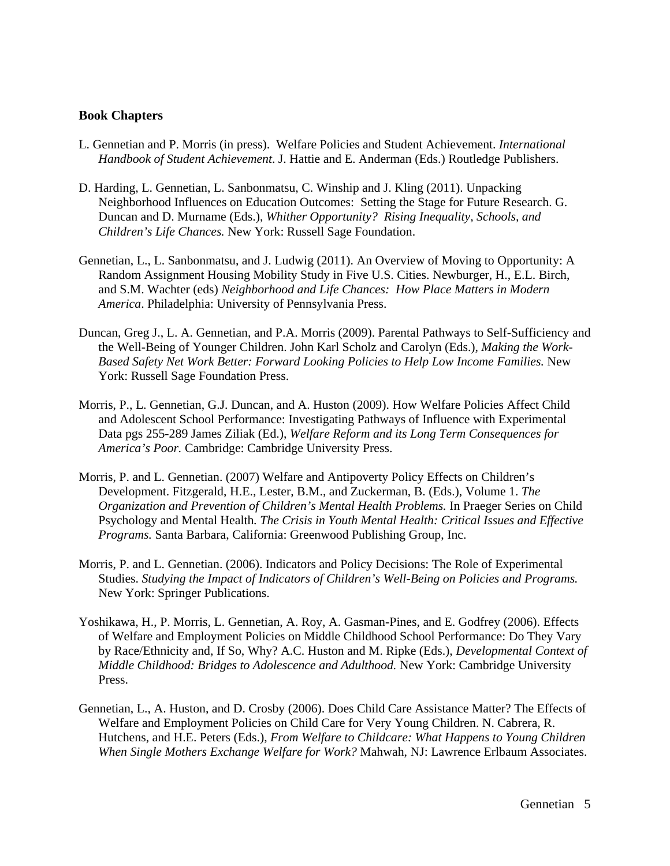#### **Book Chapters**

- L. Gennetian and P. Morris (in press). Welfare Policies and Student Achievement. *International Handbook of Student Achievement*. J. Hattie and E. Anderman (Eds.) Routledge Publishers.
- D. Harding, L. Gennetian, L. Sanbonmatsu, C. Winship and J. Kling (2011). Unpacking Neighborhood Influences on Education Outcomes: Setting the Stage for Future Research. G. Duncan and D. Murname (Eds.), *Whither Opportunity? Rising Inequality, Schools, and Children's Life Chances.* New York: Russell Sage Foundation.
- Gennetian, L., L. Sanbonmatsu, and J. Ludwig (2011). An Overview of Moving to Opportunity: A Random Assignment Housing Mobility Study in Five U.S. Cities. Newburger, H., E.L. Birch, and S.M. Wachter (eds) *Neighborhood and Life Chances: How Place Matters in Modern America*. Philadelphia: University of Pennsylvania Press.
- Duncan, Greg J., L. A. Gennetian, and P.A. Morris (2009). Parental Pathways to Self-Sufficiency and the Well-Being of Younger Children. John Karl Scholz and Carolyn (Eds.), *Making the Work-Based Safety Net Work Better: Forward Looking Policies to Help Low Income Families.* New York: Russell Sage Foundation Press.
- Morris, P., L. Gennetian, G.J. Duncan, and A. Huston (2009). How Welfare Policies Affect Child and Adolescent School Performance: Investigating Pathways of Influence with Experimental Data pgs 255-289 James Ziliak (Ed.), *Welfare Reform and its Long Term Consequences for America's Poor.* Cambridge: Cambridge University Press.
- Morris, P. and L. Gennetian. (2007) Welfare and Antipoverty Policy Effects on Children's Development. Fitzgerald, H.E., Lester, B.M., and Zuckerman, B. (Eds.), Volume 1. *The Organization and Prevention of Children's Mental Health Problems.* In Praeger Series on Child Psychology and Mental Health*. The Crisis in Youth Mental Health: Critical Issues and Effective Programs.* Santa Barbara, California: Greenwood Publishing Group, Inc.
- Morris, P. and L. Gennetian. (2006). Indicators and Policy Decisions: The Role of Experimental Studies. *Studying the Impact of Indicators of Children's Well-Being on Policies and Programs.* New York: Springer Publications.
- Yoshikawa, H., P. Morris, L. Gennetian, A. Roy, A. Gasman-Pines, and E. Godfrey (2006). Effects of Welfare and Employment Policies on Middle Childhood School Performance: Do They Vary by Race/Ethnicity and, If So, Why? A.C. Huston and M. Ripke (Eds.), *Developmental Context of Middle Childhood: Bridges to Adolescence and Adulthood.* New York: Cambridge University Press.
- Gennetian, L., A. Huston, and D. Crosby (2006). Does Child Care Assistance Matter? The Effects of Welfare and Employment Policies on Child Care for Very Young Children. N. Cabrera, R. Hutchens, and H.E. Peters (Eds.), *From Welfare to Childcare: What Happens to Young Children When Single Mothers Exchange Welfare for Work?* Mahwah, NJ: Lawrence Erlbaum Associates.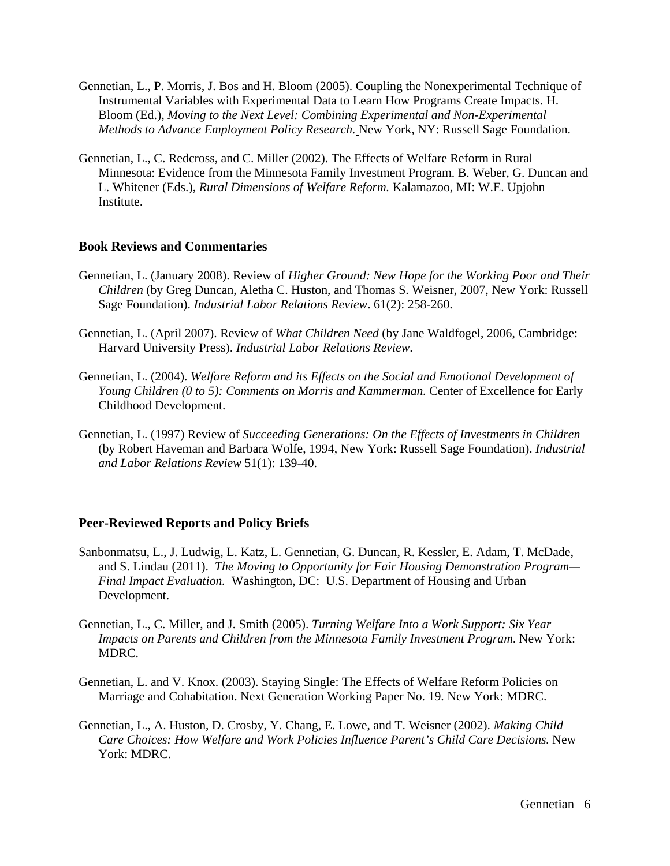- Gennetian, L., P. Morris, J. Bos and H. Bloom (2005). Coupling the Nonexperimental Technique of Instrumental Variables with Experimental Data to Learn How Programs Create Impacts. H. Bloom (Ed.), *Moving to the Next Level: Combining Experimental and Non-Experimental Methods to Advance Employment Policy Research.* New York, NY: Russell Sage Foundation.
- Gennetian, L., C. Redcross, and C. Miller (2002). The Effects of Welfare Reform in Rural Minnesota: Evidence from the Minnesota Family Investment Program. B. Weber, G. Duncan and L. Whitener (Eds.), *Rural Dimensions of Welfare Reform.* Kalamazoo, MI: W.E. Upjohn Institute.

#### **Book Reviews and Commentaries**

- Gennetian, L. (January 2008). Review of *Higher Ground: New Hope for the Working Poor and Their Children* (by Greg Duncan, Aletha C. Huston, and Thomas S. Weisner, 2007, New York: Russell Sage Foundation). *Industrial Labor Relations Review*. 61(2): 258-260.
- Gennetian, L. (April 2007). Review of *What Children Need* (by Jane Waldfogel, 2006, Cambridge: Harvard University Press). *Industrial Labor Relations Review*.
- Gennetian, L. (2004). *Welfare Reform and its Effects on the Social and Emotional Development of Young Children (0 to 5): Comments on Morris and Kammerman.* Center of Excellence for Early Childhood Development.
- Gennetian, L. (1997) Review of *Succeeding Generations: On the Effects of Investments in Children*  (by Robert Haveman and Barbara Wolfe, 1994, New York: Russell Sage Foundation). *Industrial and Labor Relations Review* 51(1): 139-40.

# **Peer-Reviewed Reports and Policy Briefs**

- Sanbonmatsu, L., J. Ludwig, L. Katz, L. Gennetian, G. Duncan, R. Kessler, E. Adam, T. McDade, and S. Lindau (2011). *The Moving to Opportunity for Fair Housing Demonstration Program— Final Impact Evaluation.* Washington, DC: U.S. Department of Housing and Urban Development.
- Gennetian, L., C. Miller, and J. Smith (2005). *Turning Welfare Into a Work Support: Six Year Impacts on Parents and Children from the Minnesota Family Investment Program*. New York: MDRC.
- Gennetian, L. and V. Knox. (2003). Staying Single: The Effects of Welfare Reform Policies on Marriage and Cohabitation. Next Generation Working Paper No. 19. New York: MDRC.
- Gennetian, L., A. Huston, D. Crosby, Y. Chang, E. Lowe, and T. Weisner (2002). *Making Child Care Choices: How Welfare and Work Policies Influence Parent's Child Care Decisions.* New York: MDRC.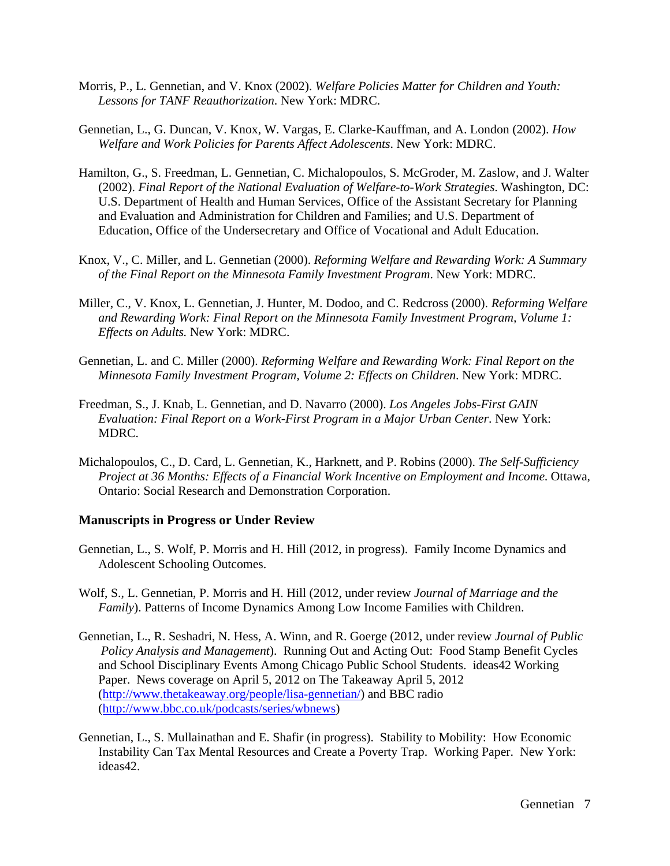- Morris, P., L. Gennetian, and V. Knox (2002). *Welfare Policies Matter for Children and Youth: Lessons for TANF Reauthorization*. New York: MDRC.
- Gennetian, L., G. Duncan, V. Knox, W. Vargas, E. Clarke-Kauffman, and A. London (2002). *How Welfare and Work Policies for Parents Affect Adolescents*. New York: MDRC.
- Hamilton, G., S. Freedman, L. Gennetian, C. Michalopoulos, S. McGroder, M. Zaslow, and J. Walter (2002). *Final Report of the National Evaluation of Welfare-to-Work Strategies*. Washington, DC: U.S. Department of Health and Human Services, Office of the Assistant Secretary for Planning and Evaluation and Administration for Children and Families; and U.S. Department of Education, Office of the Undersecretary and Office of Vocational and Adult Education.
- Knox, V., C. Miller, and L. Gennetian (2000). *Reforming Welfare and Rewarding Work: A Summary of the Final Report on the Minnesota Family Investment Program*. New York: MDRC.
- Miller, C., V. Knox, L. Gennetian, J. Hunter, M. Dodoo, and C. Redcross (2000). *Reforming Welfare and Rewarding Work: Final Report on the Minnesota Family Investment Program, Volume 1: Effects on Adults.* New York: MDRC.
- Gennetian, L. and C. Miller (2000). *Reforming Welfare and Rewarding Work: Final Report on the Minnesota Family Investment Program, Volume 2: Effects on Children*. New York: MDRC.
- Freedman, S., J. Knab, L. Gennetian, and D. Navarro (2000). *Los Angeles Jobs-First GAIN Evaluation: Final Report on a Work-First Program in a Major Urban Center*. New York: MDRC.
- Michalopoulos, C., D. Card, L. Gennetian, K., Harknett, and P. Robins (2000). *The Self-Sufficiency Project at 36 Months: Effects of a Financial Work Incentive on Employment and Income*. Ottawa, Ontario: Social Research and Demonstration Corporation.

#### **Manuscripts in Progress or Under Review**

- Gennetian, L., S. Wolf, P. Morris and H. Hill (2012, in progress). Family Income Dynamics and Adolescent Schooling Outcomes.
- Wolf, S., L. Gennetian, P. Morris and H. Hill (2012, under review *Journal of Marriage and the Family*). Patterns of Income Dynamics Among Low Income Families with Children.
- Gennetian, L., R. Seshadri, N. Hess, A. Winn, and R. Goerge (2012, under review *Journal of Public Policy Analysis and Management*). Running Out and Acting Out: Food Stamp Benefit Cycles and School Disciplinary Events Among Chicago Public School Students. ideas42 Working Paper. News coverage on April 5, 2012 on The Takeaway April 5, 2012 (http://www.thetakeaway.org/people/lisa-gennetian/) and BBC radio (http://www.bbc.co.uk/podcasts/series/wbnews)
- Gennetian, L., S. Mullainathan and E. Shafir (in progress). Stability to Mobility: How Economic Instability Can Tax Mental Resources and Create a Poverty Trap. Working Paper. New York: ideas42.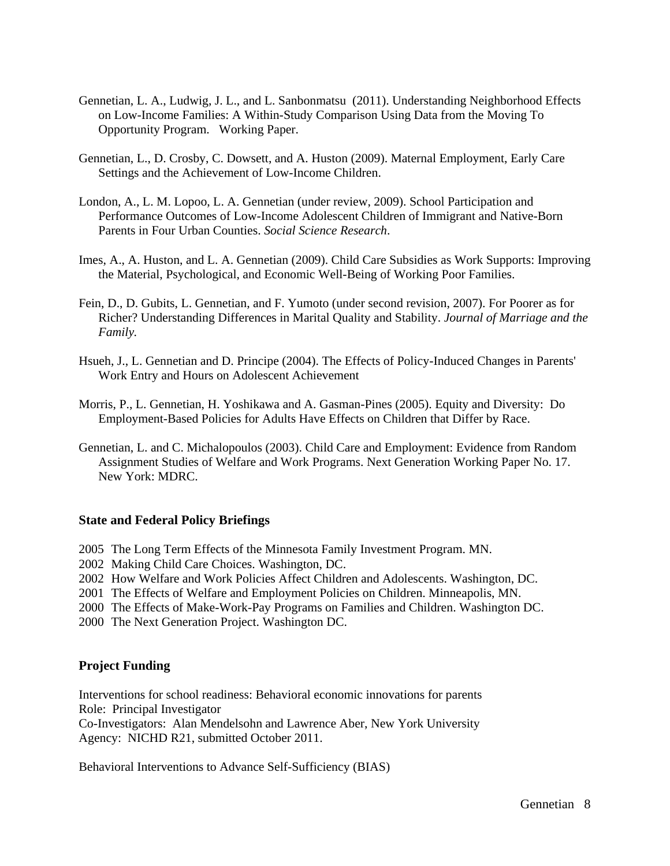- Gennetian, L. A., Ludwig, J. L., and L. Sanbonmatsu (2011). Understanding Neighborhood Effects on Low-Income Families: A Within-Study Comparison Using Data from the Moving To Opportunity Program. Working Paper.
- Gennetian, L., D. Crosby, C. Dowsett, and A. Huston (2009). Maternal Employment, Early Care Settings and the Achievement of Low-Income Children.
- London, A., L. M. Lopoo, L. A. Gennetian (under review, 2009). School Participation and Performance Outcomes of Low-Income Adolescent Children of Immigrant and Native-Born Parents in Four Urban Counties. *Social Science Research*.
- Imes, A., A. Huston, and L. A. Gennetian (2009). Child Care Subsidies as Work Supports: Improving the Material, Psychological, and Economic Well-Being of Working Poor Families.
- Fein, D., D. Gubits, L. Gennetian, and F. Yumoto (under second revision, 2007). For Poorer as for Richer? Understanding Differences in Marital Quality and Stability. *Journal of Marriage and the Family.*
- Hsueh, J., L. Gennetian and D. Principe (2004). The Effects of Policy-Induced Changes in Parents' Work Entry and Hours on Adolescent Achievement
- Morris, P., L. Gennetian, H. Yoshikawa and A. Gasman-Pines (2005). Equity and Diversity: Do Employment-Based Policies for Adults Have Effects on Children that Differ by Race.
- Gennetian, L. and C. Michalopoulos (2003). Child Care and Employment: Evidence from Random Assignment Studies of Welfare and Work Programs. Next Generation Working Paper No. 17. New York: MDRC.

#### **State and Federal Policy Briefings**

- 2005 The Long Term Effects of the Minnesota Family Investment Program. MN.
- 2002 Making Child Care Choices. Washington, DC.
- 2002 How Welfare and Work Policies Affect Children and Adolescents. Washington, DC.
- 2001 The Effects of Welfare and Employment Policies on Children. Minneapolis, MN.
- 2000 The Effects of Make-Work-Pay Programs on Families and Children. Washington DC.
- 2000 The Next Generation Project. Washington DC.

#### **Project Funding**

Interventions for school readiness: Behavioral economic innovations for parents Role: Principal Investigator

Co-Investigators: Alan Mendelsohn and Lawrence Aber, New York University Agency: NICHD R21, submitted October 2011.

Behavioral Interventions to Advance Self-Sufficiency (BIAS)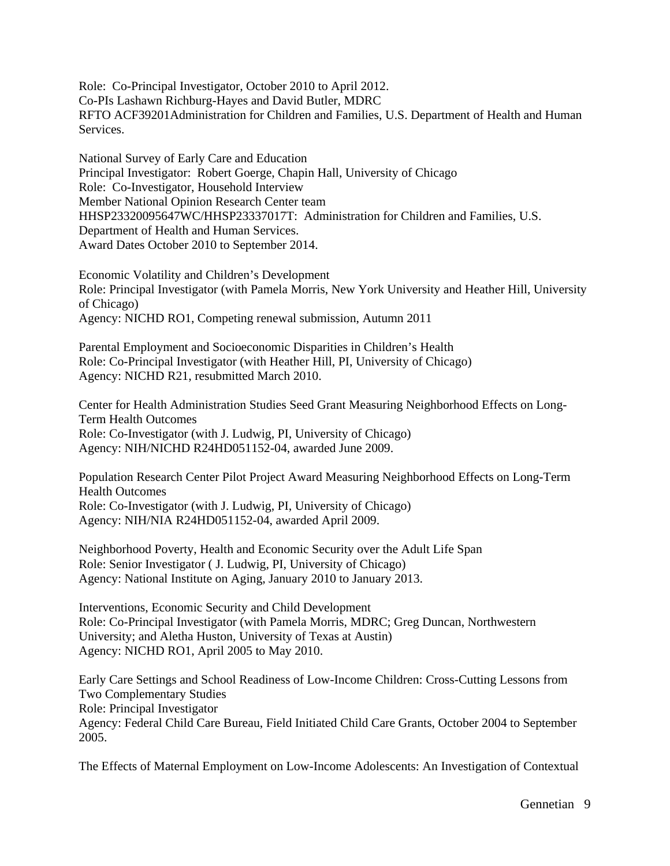Role: Co-Principal Investigator, October 2010 to April 2012. Co-PIs Lashawn Richburg-Hayes and David Butler, MDRC RFTO ACF39201Administration for Children and Families, U.S. Department of Health and Human Services.

National Survey of Early Care and Education Principal Investigator: Robert Goerge, Chapin Hall, University of Chicago Role: Co-Investigator, Household Interview Member National Opinion Research Center team HHSP23320095647WC/HHSP23337017T: Administration for Children and Families, U.S. Department of Health and Human Services. Award Dates October 2010 to September 2014.

Economic Volatility and Children's Development Role: Principal Investigator (with Pamela Morris, New York University and Heather Hill, University of Chicago) Agency: NICHD RO1, Competing renewal submission, Autumn 2011

Parental Employment and Socioeconomic Disparities in Children's Health Role: Co-Principal Investigator (with Heather Hill, PI, University of Chicago) Agency: NICHD R21, resubmitted March 2010.

Center for Health Administration Studies Seed Grant Measuring Neighborhood Effects on Long-Term Health Outcomes Role: Co-Investigator (with J. Ludwig, PI, University of Chicago) Agency: NIH/NICHD R24HD051152-04, awarded June 2009.

Population Research Center Pilot Project Award Measuring Neighborhood Effects on Long-Term Health Outcomes Role: Co-Investigator (with J. Ludwig, PI, University of Chicago) Agency: NIH/NIA R24HD051152-04, awarded April 2009.

Neighborhood Poverty, Health and Economic Security over the Adult Life Span Role: Senior Investigator ( J. Ludwig, PI, University of Chicago) Agency: National Institute on Aging, January 2010 to January 2013.

Interventions, Economic Security and Child Development Role: Co-Principal Investigator (with Pamela Morris, MDRC; Greg Duncan, Northwestern University; and Aletha Huston, University of Texas at Austin) Agency: NICHD RO1, April 2005 to May 2010.

Early Care Settings and School Readiness of Low-Income Children: Cross-Cutting Lessons from Two Complementary Studies Role: Principal Investigator Agency: Federal Child Care Bureau, Field Initiated Child Care Grants, October 2004 to September 2005.

The Effects of Maternal Employment on Low-Income Adolescents: An Investigation of Contextual